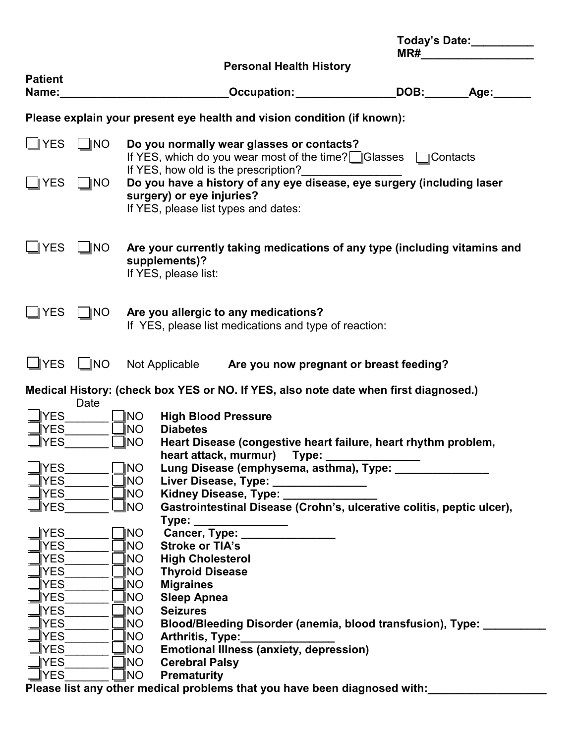|                                                                         |                |            |                                                                   |                                                                                                              |  | Today's Date: __________<br>MR# |                       |  |  |  |  |
|-------------------------------------------------------------------------|----------------|------------|-------------------------------------------------------------------|--------------------------------------------------------------------------------------------------------------|--|---------------------------------|-----------------------|--|--|--|--|
|                                                                         |                |            |                                                                   | <b>Personal Health History</b>                                                                               |  |                                 |                       |  |  |  |  |
| <b>Patient</b><br>Name:                                                 |                |            |                                                                   | <b>Occupation: COLLECTER PROPERTY</b>                                                                        |  |                                 | DOB:_________Age:____ |  |  |  |  |
| Please explain your present eye health and vision condition (if known): |                |            |                                                                   |                                                                                                              |  |                                 |                       |  |  |  |  |
| $\sqcup$ YES                                                            | $\Box$ ino     |            | If YES, how old is the prescription?                              | Do you normally wear glasses or contacts?<br>If YES, which do you wear most of the time? Glasses CC contacts |  |                                 |                       |  |  |  |  |
| $\mathsf{I}$ YES                                                        | $\Box$ INO     |            | surgery) or eye injuries?<br>If YES, please list types and dates: | Do you have a history of any eye disease, eye surgery (including laser                                       |  |                                 |                       |  |  |  |  |
| <b>YES</b>                                                              | $\bigsqcup$ NO |            | supplements)?<br>If YES, please list:                             | Are your currently taking medications of any type (including vitamins and                                    |  |                                 |                       |  |  |  |  |
| <b>YES</b>                                                              | ∏NO            |            |                                                                   | Are you allergic to any medications?<br>If YES, please list medications and type of reaction:                |  |                                 |                       |  |  |  |  |
| $\sqcup$ YES                                                            | $\Box$ NO      |            |                                                                   | Not Applicable Are you now pregnant or breast feeding?                                                       |  |                                 |                       |  |  |  |  |
|                                                                         |                |            |                                                                   | Medical History: (check box YES or NO. If YES, also note date when first diagnosed.)                         |  |                                 |                       |  |  |  |  |
| <b>YES</b>                                                              | Date           | ∥NO.       | <b>High Blood Pressure</b>                                        |                                                                                                              |  |                                 |                       |  |  |  |  |
| <b>YES</b>                                                              |                | INO.       | <b>Diabetes</b>                                                   |                                                                                                              |  |                                 |                       |  |  |  |  |
| YES                                                                     |                | INO        |                                                                   | Heart Disease (congestive heart failure, heart rhythm problem,                                               |  |                                 |                       |  |  |  |  |
| YES                                                                     |                | INO        | heart attack, murmur)                                             | Type:<br>Lung Disease (emphysema, asthma), Type: _                                                           |  |                                 |                       |  |  |  |  |
| <b>YES</b>                                                              |                | <b>INO</b> |                                                                   | Liver Disease, Type: _______________                                                                         |  |                                 |                       |  |  |  |  |
| YES.                                                                    |                | INO.       | Kidney Disease, Type:                                             |                                                                                                              |  |                                 |                       |  |  |  |  |
| YES                                                                     |                | NO         |                                                                   | Gastrointestinal Disease (Crohn's, ulcerative colitis, peptic ulcer),                                        |  |                                 |                       |  |  |  |  |
|                                                                         |                |            | Type:                                                             |                                                                                                              |  |                                 |                       |  |  |  |  |
| <b>YES</b>                                                              |                | NO         | Cancer, Type:                                                     |                                                                                                              |  |                                 |                       |  |  |  |  |
| <b>YES</b>                                                              |                | INO        | <b>Stroke or TIA's</b>                                            |                                                                                                              |  |                                 |                       |  |  |  |  |
| <b>YES</b>                                                              |                | INO        | <b>High Cholesterol</b>                                           |                                                                                                              |  |                                 |                       |  |  |  |  |
| <b>YES</b>                                                              |                | INO        | <b>Thyroid Disease</b>                                            |                                                                                                              |  |                                 |                       |  |  |  |  |
| YES.<br><b>YES</b>                                                      |                | NO<br>NO.  | <b>Migraines</b>                                                  |                                                                                                              |  |                                 |                       |  |  |  |  |
| <b>YES</b>                                                              |                | INO        | <b>Sleep Apnea</b><br><b>Seizures</b>                             |                                                                                                              |  |                                 |                       |  |  |  |  |
| <b>YES</b>                                                              |                | NO         |                                                                   | Blood/Bleeding Disorder (anemia, blood transfusion), Type:                                                   |  |                                 |                       |  |  |  |  |
| <b>YES</b>                                                              |                | NO.        | Arthritis, Type:                                                  |                                                                                                              |  |                                 |                       |  |  |  |  |
| <b>YES</b>                                                              |                | NO.        |                                                                   | <b>Emotional Illness (anxiety, depression)</b>                                                               |  |                                 |                       |  |  |  |  |
| <b>YES</b>                                                              |                | INO        | <b>Cerebral Palsy</b>                                             |                                                                                                              |  |                                 |                       |  |  |  |  |
| <b>YES</b>                                                              |                | <b>NO</b>  | <b>Prematurity</b>                                                |                                                                                                              |  |                                 |                       |  |  |  |  |
|                                                                         |                |            |                                                                   | Please list any other medical problems that you have been diagnosed with:                                    |  |                                 |                       |  |  |  |  |